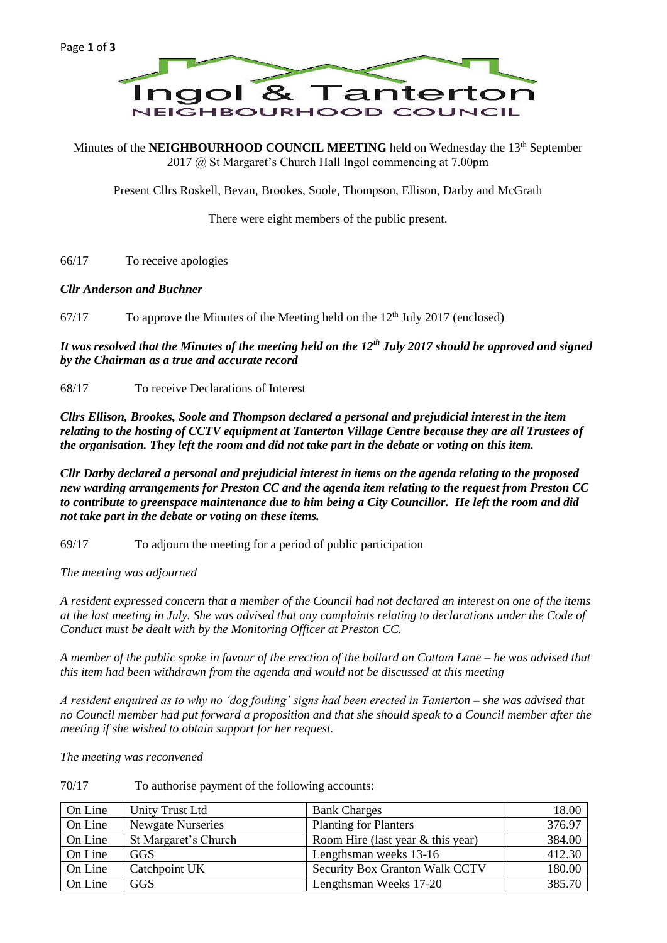

Minutes of the **NEIGHBOURHOOD COUNCIL MEETING** held on Wednesday the 13<sup>th</sup> September 2017 @ St Margaret's Church Hall Ingol commencing at 7.00pm

Present Cllrs Roskell, Bevan, Brookes, Soole, Thompson, Ellison, Darby and McGrath

There were eight members of the public present.

66/17 To receive apologies

### *Cllr Anderson and Buchner*

 $67/17$  To approve the Minutes of the Meeting held on the  $12<sup>th</sup>$  July 2017 (enclosed)

*It was resolved that the Minutes of the meeting held on the 12th July 2017 should be approved and signed by the Chairman as a true and accurate record*

68/17 To receive Declarations of Interest

*Cllrs Ellison, Brookes, Soole and Thompson declared a personal and prejudicial interest in the item relating to the hosting of CCTV equipment at Tanterton Village Centre because they are all Trustees of the organisation. They left the room and did not take part in the debate or voting on this item.*

*Cllr Darby declared a personal and prejudicial interest in items on the agenda relating to the proposed new warding arrangements for Preston CC and the agenda item relating to the request from Preston CC to contribute to greenspace maintenance due to him being a City Councillor. He left the room and did not take part in the debate or voting on these items.*

69/17 To adjourn the meeting for a period of public participation

*The meeting was adjourned*

*A resident expressed concern that a member of the Council had not declared an interest on one of the items at the last meeting in July. She was advised that any complaints relating to declarations under the Code of Conduct must be dealt with by the Monitoring Officer at Preston CC.*

*A member of the public spoke in favour of the erection of the bollard on Cottam Lane – he was advised that this item had been withdrawn from the agenda and would not be discussed at this meeting*

*A resident enquired as to why no 'dog fouling' signs had been erected in Tanterton – she was advised that no Council member had put forward a proposition and that she should speak to a Council member after the meeting if she wished to obtain support for her request.*

*The meeting was reconvened*

| 70/17 | To authorise payment of the following accounts: |
|-------|-------------------------------------------------|
|-------|-------------------------------------------------|

| On Line | Unity Trust Ltd          | <b>Bank Charges</b>                 | 18.00  |
|---------|--------------------------|-------------------------------------|--------|
| On Line | <b>Newgate Nurseries</b> | <b>Planting for Planters</b>        | 376.97 |
| On Line | St Margaret's Church     | Room Hire (last year $&$ this year) | 384.00 |
| On Line | <b>GGS</b>               | Lengthsman weeks 13-16              | 412.30 |
| On Line | Catchpoint UK            | Security Box Granton Walk CCTV      | 180.00 |
| On Line | GGS                      | Lengthsman Weeks 17-20              | 385.70 |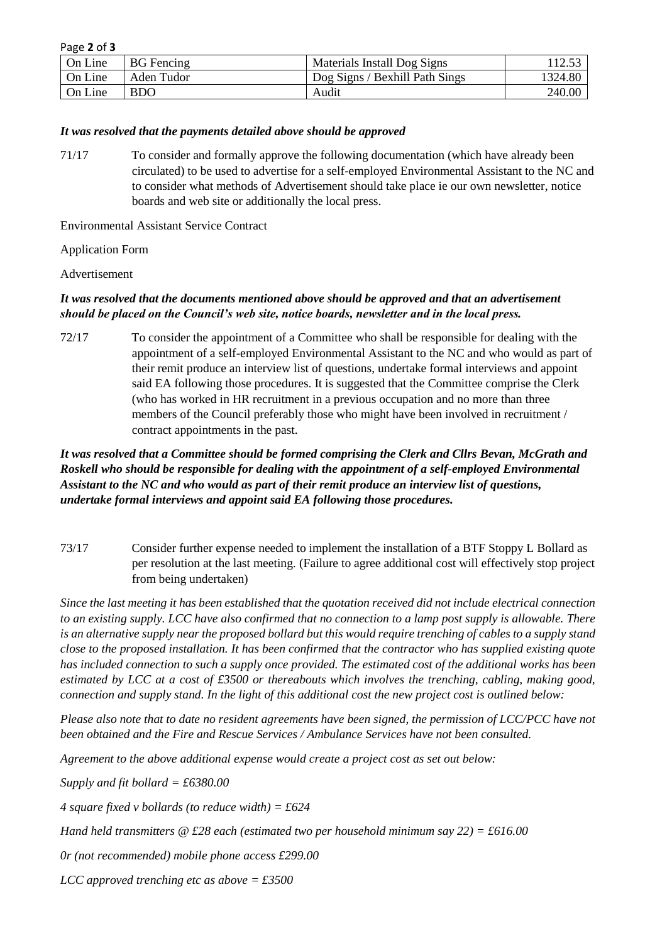| Page 2 of 3 |  |  |  |
|-------------|--|--|--|
|-------------|--|--|--|

| On Line | <b>BG</b> Fencing | Materials Install Dog Signs    |         |
|---------|-------------------|--------------------------------|---------|
| On Line | Aden Tudor        | Dog Signs / Bexhill Path Sings | 1324.80 |
| On Line | <b>BDO</b>        | Audit                          | 240.00  |

### *It was resolved that the payments detailed above should be approved*

71/17 To consider and formally approve the following documentation (which have already been circulated) to be used to advertise for a self-employed Environmental Assistant to the NC and to consider what methods of Advertisement should take place ie our own newsletter, notice boards and web site or additionally the local press.

Environmental Assistant Service Contract

### Application Form

#### Advertisement

# *It was resolved that the documents mentioned above should be approved and that an advertisement should be placed on the Council's web site, notice boards, newsletter and in the local press.*

72/17 To consider the appointment of a Committee who shall be responsible for dealing with the appointment of a self-employed Environmental Assistant to the NC and who would as part of their remit produce an interview list of questions, undertake formal interviews and appoint said EA following those procedures. It is suggested that the Committee comprise the Clerk (who has worked in HR recruitment in a previous occupation and no more than three members of the Council preferably those who might have been involved in recruitment / contract appointments in the past.

*It was resolved that a Committee should be formed comprising the Clerk and Cllrs Bevan, McGrath and Roskell who should be responsible for dealing with the appointment of a self-employed Environmental Assistant to the NC and who would as part of their remit produce an interview list of questions, undertake formal interviews and appoint said EA following those procedures.*

73/17 Consider further expense needed to implement the installation of a BTF Stoppy L Bollard as per resolution at the last meeting. (Failure to agree additional cost will effectively stop project from being undertaken)

*Since the last meeting it has been established that the quotation received did not include electrical connection to an existing supply. LCC have also confirmed that no connection to a lamp post supply is allowable. There is an alternative supply near the proposed bollard but this would require trenching of cables to a supply stand close to the proposed installation. It has been confirmed that the contractor who has supplied existing quote has included connection to such a supply once provided. The estimated cost of the additional works has been estimated by LCC at a cost of £3500 or thereabouts which involves the trenching, cabling, making good, connection and supply stand. In the light of this additional cost the new project cost is outlined below:*

*Please also note that to date no resident agreements have been signed, the permission of LCC/PCC have not been obtained and the Fire and Rescue Services / Ambulance Services have not been consulted.*

*Agreement to the above additional expense would create a project cost as set out below:*

*Supply and fit bollard = £6380.00*

*4 square fixed v bollards (to reduce width) = £624*

*Hand held transmitters @ £28 each (estimated two per household minimum say 22) = £616.00*

*0r (not recommended) mobile phone access £299.00*

*LCC approved trenching etc as above = £3500*